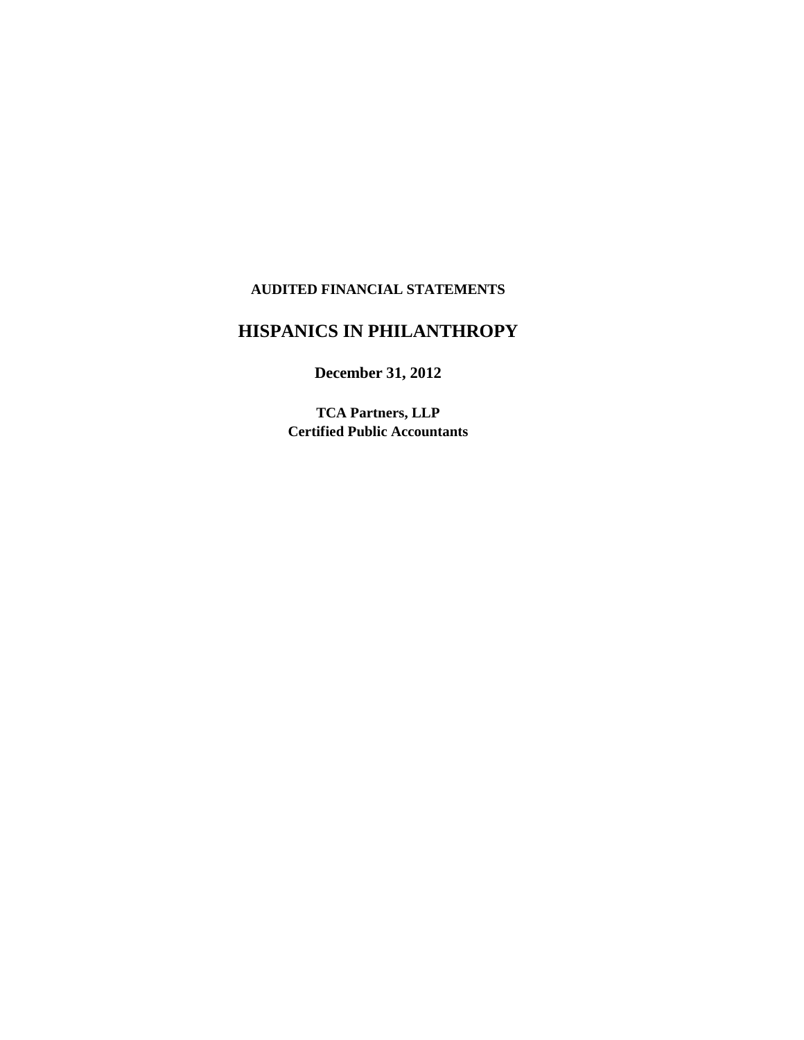#### **AUDITED FINANCIAL STATEMENTS**

## **HISPANICS IN PHILANTHROPY**

**December 31, 2012**

**TCA Partners, LLP Certified Public Accountants**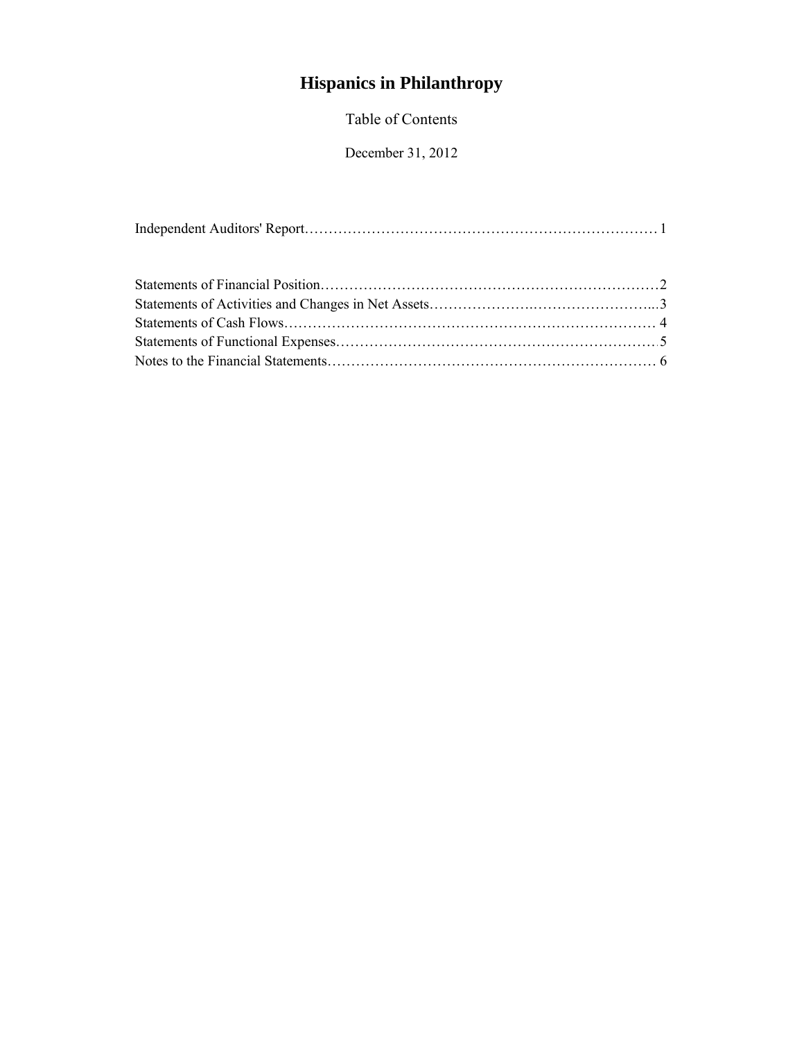# **Hispanics in Philanthropy**

Table of Contents

December 31, 2012

|--|--|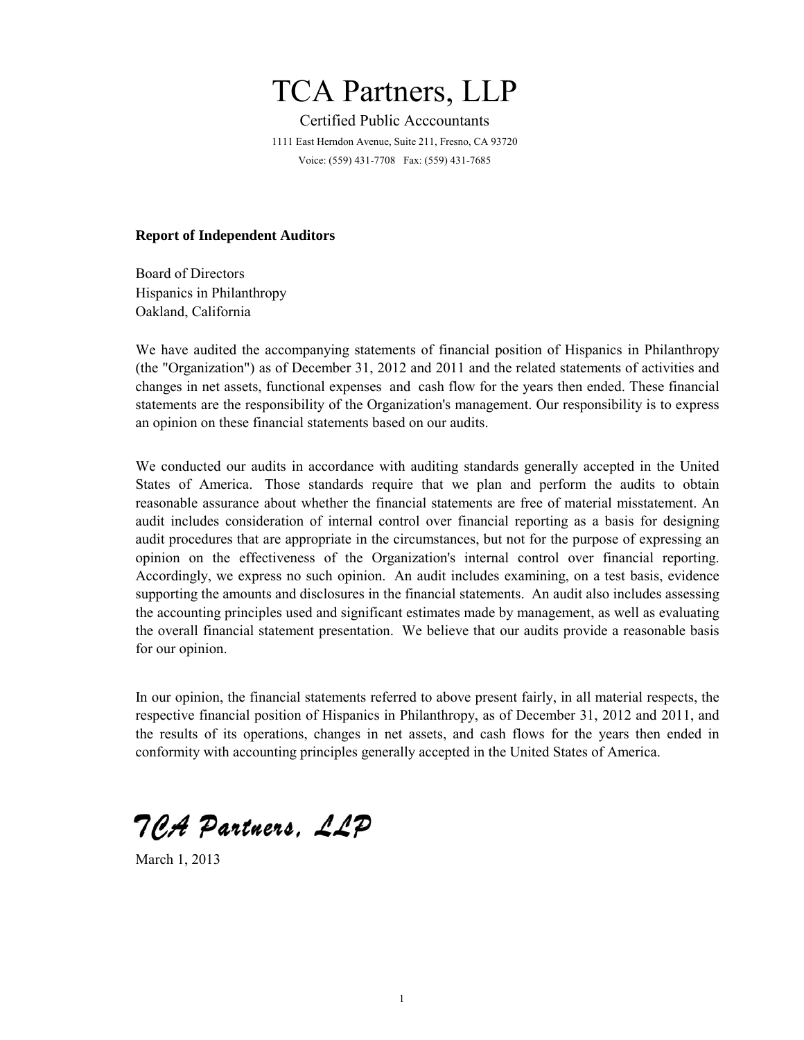# TCA Partners, LLP

Certified Public Acccountants 1111 East Herndon Avenue, Suite 211, Fresno, CA 93720 Voice: (559) 431-7708 Fax: (559) 431-7685

#### **Report of Independent Auditors**

Board of Directors Hispanics in Philanthropy Oakland, California

We have audited the accompanying statements of financial position of Hispanics in Philanthropy (the "Organization") as of December 31, 2012 and 2011 and the related statements of activities and changes in net assets, functional expenses and cash flow for the years then ended. These financial statements are the responsibility of the Organization's management. Our responsibility is to express an opinion on these financial statements based on our audits.

We conducted our audits in accordance with auditing standards generally accepted in the United States of America. Those standards require that we plan and perform the audits to obtain reasonable assurance about whether the financial statements are free of material misstatement. An audit includes consideration of internal control over financial reporting as a basis for designing audit procedures that are appropriate in the circumstances, but not for the purpose of expressing an opinion on the effectiveness of the Organization's internal control over financial reporting. Accordingly, we express no such opinion. An audit includes examining, on a test basis, evidence supporting the amounts and disclosures in the financial statements. An audit also includes assessing the accounting principles used and significant estimates made by management, as well as evaluating the overall financial statement presentation. We believe that our audits provide a reasonable basis for our opinion.

In our opinion, the financial statements referred to above present fairly, in all material respects, the respective financial position of Hispanics in Philanthropy, as of December 31, 2012 and 2011, and the results of its operations, changes in net assets, and cash flows for the years then ended in conformity with accounting principles generally accepted in the United States of America.

TCA Partners, LLP

March 1, 2013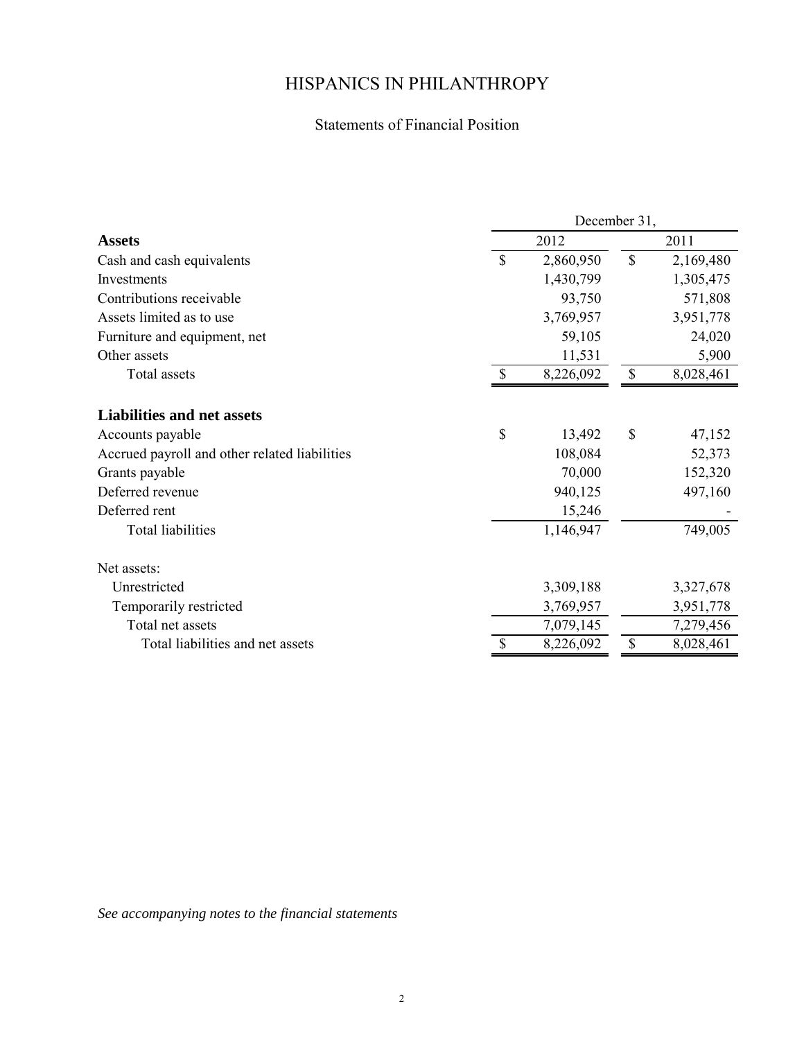### Statements of Financial Position

|                                               | December 31, |           |             |           |  |  |  |
|-----------------------------------------------|--------------|-----------|-------------|-----------|--|--|--|
| <b>Assets</b>                                 |              | 2012      |             | 2011      |  |  |  |
| Cash and cash equivalents                     | \$           | 2,860,950 | $\mathbf S$ | 2,169,480 |  |  |  |
| Investments                                   |              | 1,430,799 |             | 1,305,475 |  |  |  |
| Contributions receivable                      |              | 93,750    |             | 571,808   |  |  |  |
| Assets limited as to use                      |              | 3,769,957 |             | 3,951,778 |  |  |  |
| Furniture and equipment, net                  |              | 59,105    |             | 24,020    |  |  |  |
| Other assets                                  |              | 11,531    |             | 5,900     |  |  |  |
| Total assets                                  | \$           | 8,226,092 | \$          | 8,028,461 |  |  |  |
| <b>Liabilities and net assets</b>             |              |           |             |           |  |  |  |
| Accounts payable                              | \$           | 13,492    | \$          | 47,152    |  |  |  |
| Accrued payroll and other related liabilities |              | 108,084   |             | 52,373    |  |  |  |
| Grants payable                                |              | 70,000    |             | 152,320   |  |  |  |
| Deferred revenue                              |              | 940,125   |             | 497,160   |  |  |  |
| Deferred rent                                 |              | 15,246    |             |           |  |  |  |
| Total liabilities                             |              | 1,146,947 |             | 749,005   |  |  |  |
| Net assets:                                   |              |           |             |           |  |  |  |
| Unrestricted                                  |              | 3,309,188 |             | 3,327,678 |  |  |  |
| Temporarily restricted                        |              | 3,769,957 |             | 3,951,778 |  |  |  |
| Total net assets                              |              | 7,079,145 |             | 7,279,456 |  |  |  |
| Total liabilities and net assets              | S            | 8,226,092 | \$          | 8,028,461 |  |  |  |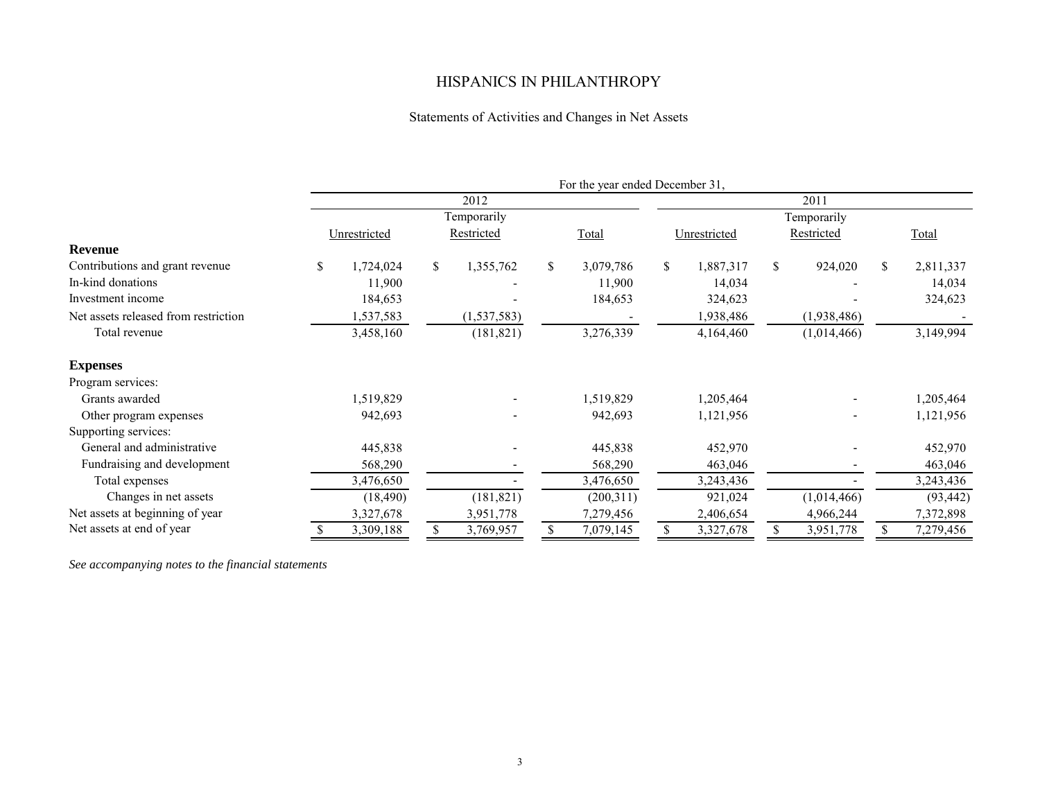### Statements of Activities and Changes in Net Assets

|                                      | For the year ended December 31, |              |      |               |    |           |    |              |               |             |    |           |
|--------------------------------------|---------------------------------|--------------|------|---------------|----|-----------|----|--------------|---------------|-------------|----|-----------|
|                                      |                                 |              | 2011 |               |    |           |    |              |               |             |    |           |
|                                      |                                 |              |      | Temporarily   |    |           |    |              |               | Temporarily |    |           |
|                                      |                                 | Unrestricted |      | Restricted    |    | Total     |    | Unrestricted |               | Restricted  |    | Total     |
| Revenue                              |                                 |              |      |               |    |           |    |              |               |             |    |           |
| Contributions and grant revenue      | S.                              | 1,724,024    | \$   | 1,355,762     | \$ | 3,079,786 | \$ | 1,887,317    | <sup>\$</sup> | 924,020     | \$ | 2,811,337 |
| In-kind donations                    |                                 | 11,900       |      |               |    | 11,900    |    | 14,034       |               |             |    | 14,034    |
| Investment income                    |                                 | 184,653      |      |               |    | 184,653   |    | 324,623      |               |             |    | 324,623   |
| Net assets released from restriction |                                 | 1,537,583    |      | (1, 537, 583) |    |           |    | 1,938,486    |               | (1,938,486) |    |           |
| Total revenue                        |                                 | 3,458,160    |      | (181, 821)    |    | 3,276,339 |    | 4,164,460    |               | (1,014,466) |    | 3,149,994 |
| <b>Expenses</b>                      |                                 |              |      |               |    |           |    |              |               |             |    |           |
| Program services:                    |                                 |              |      |               |    |           |    |              |               |             |    |           |
| Grants awarded                       |                                 | 1,519,829    |      |               |    | 1,519,829 |    | 1,205,464    |               |             |    | 1,205,464 |
| Other program expenses               |                                 | 942,693      |      |               |    | 942,693   |    | 1,121,956    |               |             |    | 1,121,956 |
| Supporting services:                 |                                 |              |      |               |    |           |    |              |               |             |    |           |
| General and administrative           |                                 | 445,838      |      |               |    | 445,838   |    | 452,970      |               |             |    | 452,970   |
| Fundraising and development          |                                 | 568,290      |      |               |    | 568,290   |    | 463,046      |               |             |    | 463,046   |
| Total expenses                       |                                 | 3,476,650    |      |               |    | 3,476,650 |    | 3,243,436    |               |             |    | 3,243,436 |
| Changes in net assets                |                                 | (18, 490)    |      | (181, 821)    |    | (200,311) |    | 921,024      |               | (1,014,466) |    | (93, 442) |
| Net assets at beginning of year      |                                 | 3,327,678    |      | 3,951,778     |    | 7,279,456 |    | 2,406,654    |               | 4,966,244   |    | 7,372,898 |
| Net assets at end of year            |                                 | 3,309,188    | \$   | 3,769,957     | \$ | 7,079,145 | \$ | 3,327,678    |               | 3,951,778   | \$ | 7,279,456 |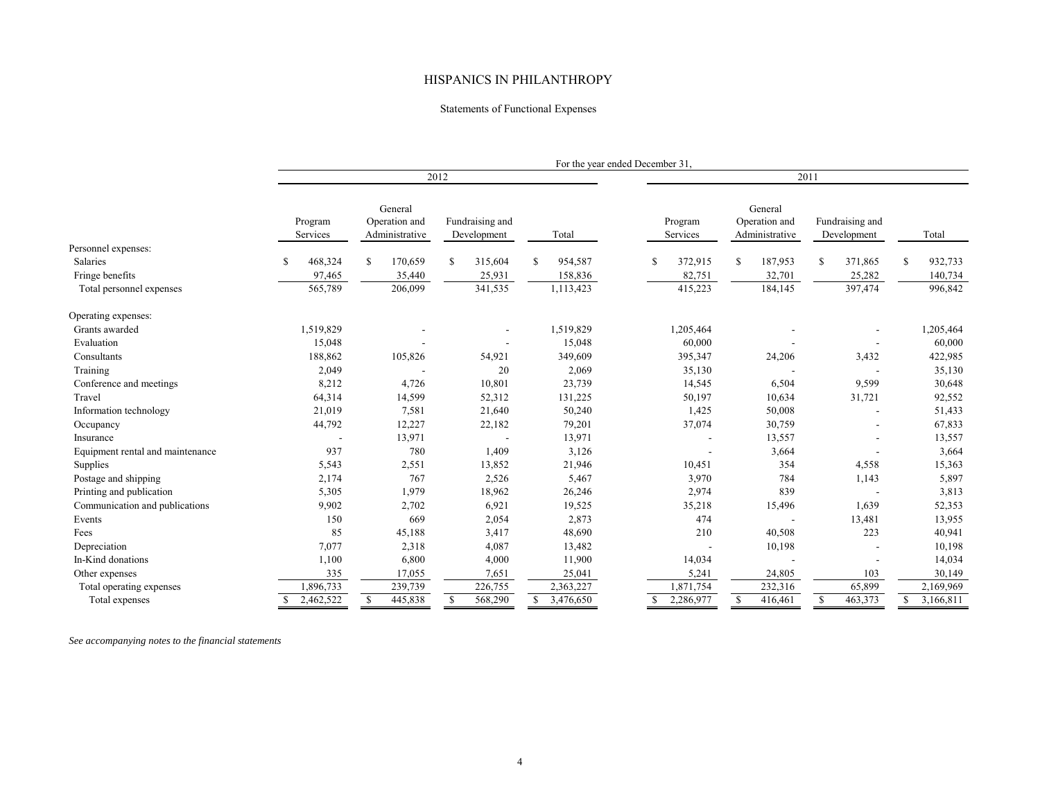#### Statements of Functional Expenses

|                                  |                           |                                            |                                |               | For the year ended December 31, |                                            |                                |                 |  |  |  |  |  |
|----------------------------------|---------------------------|--------------------------------------------|--------------------------------|---------------|---------------------------------|--------------------------------------------|--------------------------------|-----------------|--|--|--|--|--|
|                                  |                           |                                            | 2012                           |               |                                 |                                            | 2011                           |                 |  |  |  |  |  |
|                                  | Program<br>Services       | General<br>Operation and<br>Administrative | Fundraising and<br>Development | Total         | Program<br>Services             | General<br>Operation and<br>Administrative | Fundraising and<br>Development | Total           |  |  |  |  |  |
| Personnel expenses:              |                           |                                            |                                |               |                                 |                                            |                                |                 |  |  |  |  |  |
| Salaries                         | 468,324                   | 170,659<br>S.                              | 315,604<br>\$                  | 954,587<br>\$ | 372,915<br>-S                   | <sup>\$</sup><br>187,953                   | \$<br>371,865                  | \$<br>932,733   |  |  |  |  |  |
| Fringe benefits                  | 97,465                    | 35,440                                     | 25,931                         | 158,836       | 82,751                          | 32,701                                     | 25,282                         | 140,734         |  |  |  |  |  |
| Total personnel expenses         | 565,789                   | 206,099                                    | 341,535                        | 1,113,423     | 415,223                         | 184,145                                    | 397,474                        | 996,842         |  |  |  |  |  |
| Operating expenses:              |                           |                                            |                                |               |                                 |                                            |                                |                 |  |  |  |  |  |
| Grants awarded                   | 1,519,829                 |                                            |                                | 1,519,829     | 1,205,464                       |                                            |                                | 1,205,464       |  |  |  |  |  |
| Evaluation                       | 15,048                    |                                            |                                | 15,048        | 60,000                          |                                            |                                | 60,000          |  |  |  |  |  |
| Consultants                      | 188,862                   | 105,826                                    | 54,921                         | 349,609       | 395,347                         | 24,206                                     | 3,432                          | 422,985         |  |  |  |  |  |
| Training                         | 2,049                     |                                            | 20                             | 2,069         | 35,130                          |                                            |                                | 35,130          |  |  |  |  |  |
| Conference and meetings          | 8,212                     | 4,726                                      | 10,801                         | 23,739        | 14,545                          | 6,504                                      | 9,599                          | 30,648          |  |  |  |  |  |
| Travel                           | 64,314                    | 14,599                                     | 52,312                         | 131,225       | 50,197                          | 10,634                                     | 31,721                         | 92,552          |  |  |  |  |  |
| Information technology           | 21,019                    | 7,581                                      | 21,640                         | 50,240        | 1,425                           | 50,008                                     |                                | 51,433          |  |  |  |  |  |
| Occupancy                        | 44,792                    | 12,227                                     | 22,182                         | 79,201        | 37,074                          | 30,759                                     |                                | 67,833          |  |  |  |  |  |
| Insurance                        |                           | 13,971                                     |                                | 13,971        |                                 | 13,557                                     |                                | 13,557          |  |  |  |  |  |
| Equipment rental and maintenance | 937                       | 780                                        | 1,409                          | 3,126         |                                 | 3,664                                      | $\blacksquare$                 | 3,664           |  |  |  |  |  |
| Supplies                         | 5,543                     | 2,551                                      | 13,852                         | 21,946        | 10,451                          | 354                                        | 4,558                          | 15,363          |  |  |  |  |  |
| Postage and shipping             | 2,174                     | 767                                        | 2,526                          | 5,467         | 3,970                           | 784                                        | 1,143                          | 5,897           |  |  |  |  |  |
| Printing and publication         | 5,305                     | 1,979                                      | 18,962                         | 26,246        | 2,974                           | 839                                        | $\overline{\phantom{a}}$       | 3,813           |  |  |  |  |  |
| Communication and publications   | 9,902                     | 2,702                                      | 6,921                          | 19,525        | 35,218                          | 15,496                                     | 1,639                          | 52,353          |  |  |  |  |  |
| Events                           | 150                       | 669                                        | 2,054                          | 2,873         | 474                             |                                            | 13,481                         | 13,955          |  |  |  |  |  |
| Fees                             | 85                        | 45,188                                     | 3,417                          | 48,690        | 210                             | 40,508                                     | 223                            | 40,941          |  |  |  |  |  |
| Depreciation                     | 7,077                     | 2,318                                      | 4,087                          | 13,482        |                                 | 10,198                                     |                                | 10,198          |  |  |  |  |  |
| In-Kind donations                | 1,100                     | 6,800                                      | 4,000                          | 11,900        | 14,034                          |                                            |                                | 14,034          |  |  |  |  |  |
| Other expenses                   | 335                       | 17,055                                     | 7,651                          | 25,041        | 5,241                           | 24,805                                     | 103                            | 30,149          |  |  |  |  |  |
| Total operating expenses         | 1,896,733                 | 239,739                                    | 226,755                        | 2,363,227     | 1,871,754                       | 232,316                                    | 65,899                         | 2,169,969       |  |  |  |  |  |
| Total expenses                   | 2,462,522<br><sup>S</sup> | 445,838<br>\$                              | 568,290<br>\$                  | \$3,476,650   | \$2,286,977                     | \$<br>416,461                              | 463,373<br>\$                  | \$<br>3,166,811 |  |  |  |  |  |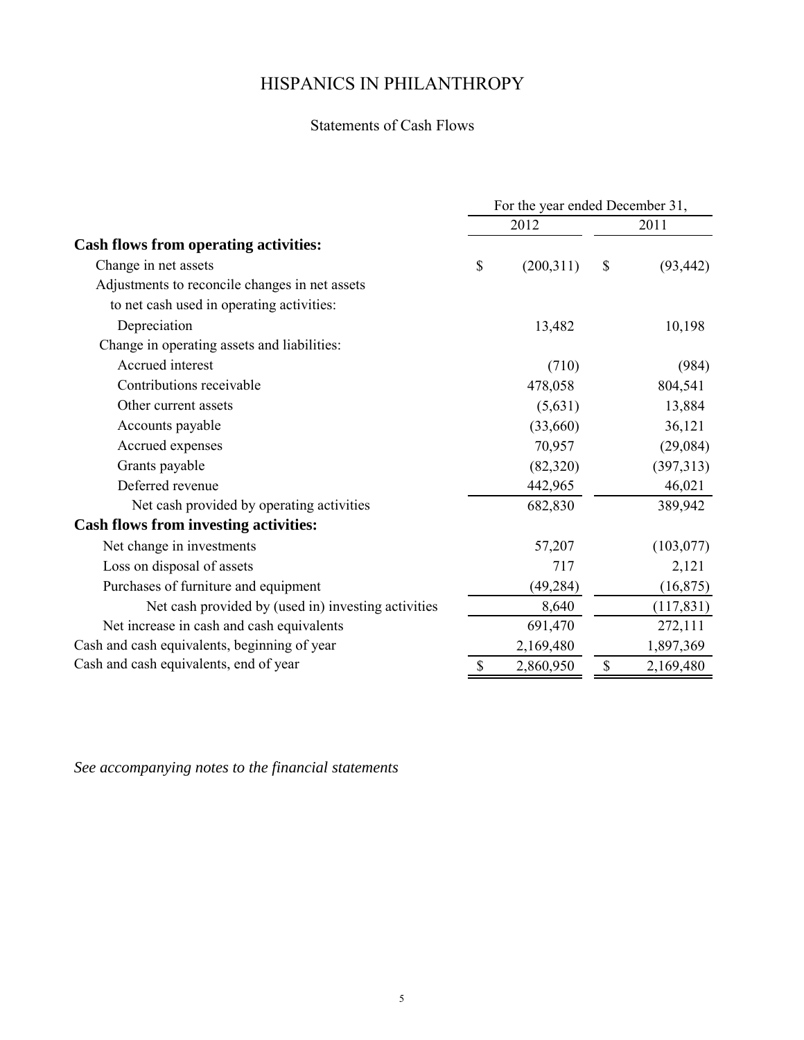### Statements of Cash Flows

|                                                     | For the year ended December 31, |                 |
|-----------------------------------------------------|---------------------------------|-----------------|
|                                                     | 2012                            | 2011            |
| <b>Cash flows from operating activities:</b>        |                                 |                 |
| Change in net assets                                | \$<br>(200,311)                 | \$<br>(93, 442) |
| Adjustments to reconcile changes in net assets      |                                 |                 |
| to net cash used in operating activities:           |                                 |                 |
| Depreciation                                        | 13,482                          | 10,198          |
| Change in operating assets and liabilities:         |                                 |                 |
| Accrued interest                                    | (710)                           | (984)           |
| Contributions receivable                            | 478,058                         | 804,541         |
| Other current assets                                | (5,631)                         | 13,884          |
| Accounts payable                                    | (33,660)                        | 36,121          |
| Accrued expenses                                    | 70,957                          | (29,084)        |
| Grants payable                                      | (82,320)                        | (397,313)       |
| Deferred revenue                                    | 442,965                         | 46,021          |
| Net cash provided by operating activities           | 682,830                         | 389,942         |
| <b>Cash flows from investing activities:</b>        |                                 |                 |
| Net change in investments                           | 57,207                          | (103, 077)      |
| Loss on disposal of assets                          | 717                             | 2,121           |
| Purchases of furniture and equipment                | (49, 284)                       | (16, 875)       |
| Net cash provided by (used in) investing activities | 8,640                           | (117, 831)      |
| Net increase in cash and cash equivalents           | 691,470                         | 272,111         |
| Cash and cash equivalents, beginning of year        | 2,169,480                       | 1,897,369       |
| Cash and cash equivalents, end of year              | \$<br>2,860,950                 | \$<br>2,169,480 |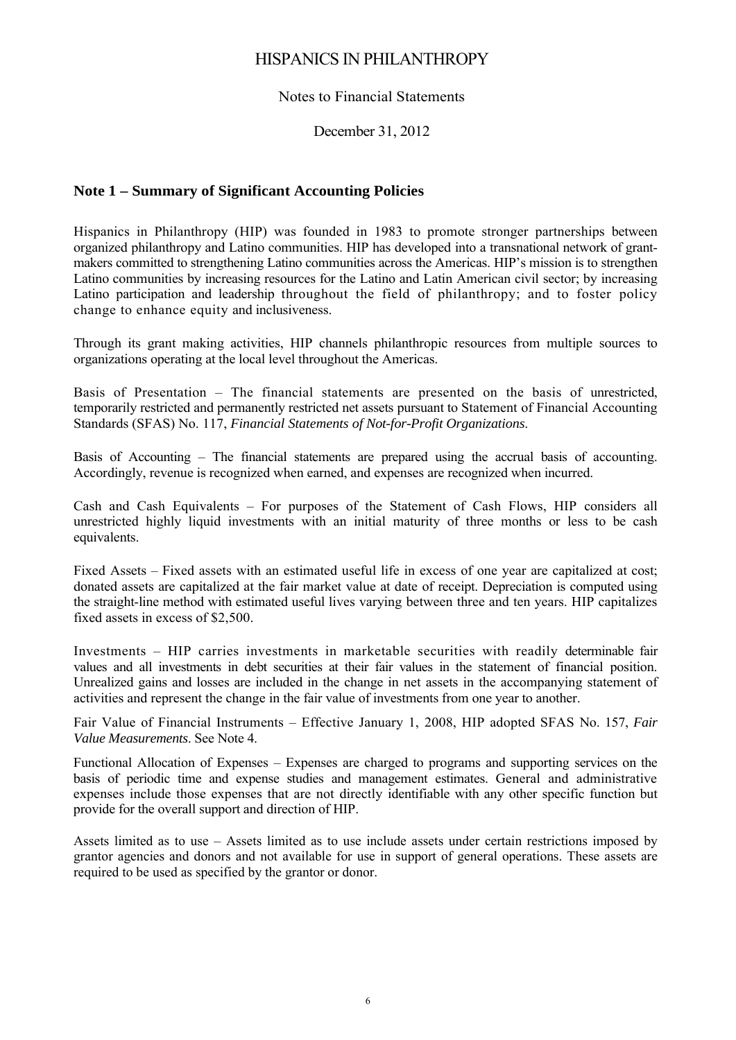#### Notes to Financial Statements

#### December 31, 2012

#### **Note 1 – Summary of Significant Accounting Policies**

Hispanics in Philanthropy (HIP) was founded in 1983 to promote stronger partnerships between organized philanthropy and Latino communities. HIP has developed into a transnational network of grantmakers committed to strengthening Latino communities across the Americas. HIP's mission is to strengthen Latino communities by increasing resources for the Latino and Latin American civil sector; by increasing Latino participation and leadership throughout the field of philanthropy; and to foster policy change to enhance equity and inclusiveness.

Through its grant making activities, HIP channels philanthropic resources from multiple sources to organizations operating at the local level throughout the Americas.

Basis of Presentation – The financial statements are presented on the basis of unrestricted, temporarily restricted and permanently restricted net assets pursuant to Statement of Financial Accounting Standards (SFAS) No. 117, *Financial Statements of Not-for-Profit Organizations*.

Basis of Accounting – The financial statements are prepared using the accrual basis of accounting. Accordingly, revenue is recognized when earned, and expenses are recognized when incurred.

Cash and Cash Equivalents – For purposes of the Statement of Cash Flows, HIP considers all unrestricted highly liquid investments with an initial maturity of three months or less to be cash equivalents.

Fixed Assets – Fixed assets with an estimated useful life in excess of one year are capitalized at cost; donated assets are capitalized at the fair market value at date of receipt. Depreciation is computed using the straight-line method with estimated useful lives varying between three and ten years. HIP capitalizes fixed assets in excess of \$2,500.

Investments – HIP carries investments in marketable securities with readily determinable fair values and all investments in debt securities at their fair values in the statement of financial position. Unrealized gains and losses are included in the change in net assets in the accompanying statement of activities and represent the change in the fair value of investments from one year to another.

Fair Value of Financial Instruments – Effective January 1, 2008, HIP adopted SFAS No. 157, *Fair Value Measurements*. See Note 4.

Functional Allocation of Expenses – Expenses are charged to programs and supporting services on the basis of periodic time and expense studies and management estimates. General and administrative expenses include those expenses that are not directly identifiable with any other specific function but provide for the overall support and direction of HIP.

Assets limited as to use – Assets limited as to use include assets under certain restrictions imposed by grantor agencies and donors and not available for use in support of general operations. These assets are required to be used as specified by the grantor or donor.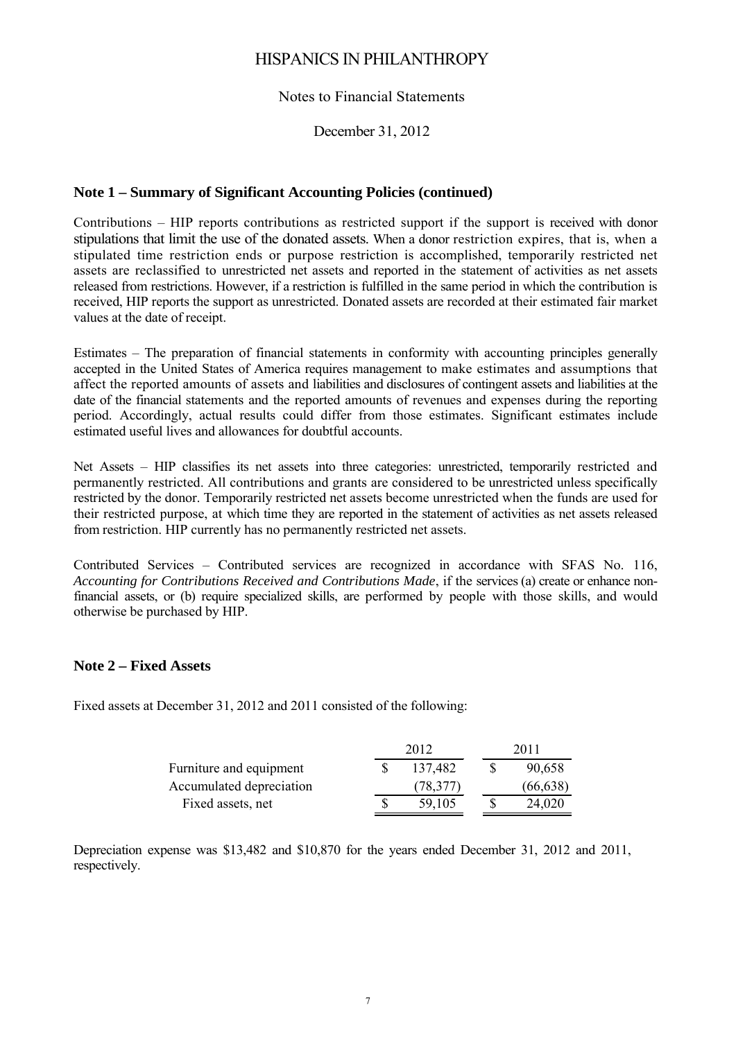#### Notes to Financial Statements

December 31, 2012

### **Note 1 – Summary of Significant Accounting Policies (continued)**

Contributions – HIP reports contributions as restricted support if the support is received with donor stipulations that limit the use of the donated assets. When a donor restriction expires, that is, when a stipulated time restriction ends or purpose restriction is accomplished, temporarily restricted net assets are reclassified to unrestricted net assets and reported in the statement of activities as net assets released from restrictions. However, if a restriction is fulfilled in the same period in which the contribution is received, HIP reports the support as unrestricted. Donated assets are recorded at their estimated fair market values at the date of receipt.

Estimates – The preparation of financial statements in conformity with accounting principles generally accepted in the United States of America requires management to make estimates and assumptions that affect the reported amounts of assets and liabilities and disclosures of contingent assets and liabilities at the date of the financial statements and the reported amounts of revenues and expenses during the reporting period. Accordingly, actual results could differ from those estimates. Significant estimates include estimated useful lives and allowances for doubtful accounts.

Net Assets – HIP classifies its net assets into three categories: unrestricted, temporarily restricted and permanently restricted. All contributions and grants are considered to be unrestricted unless specifically restricted by the donor. Temporarily restricted net assets become unrestricted when the funds are used for their restricted purpose, at which time they are reported in the statement of activities as net assets released from restriction. HIP currently has no permanently restricted net assets.

Contributed Services – Contributed services are recognized in accordance with SFAS No. 116, *Accounting for Contributions Received and Contributions Made*, if the services (a) create or enhance nonfinancial assets, or (b) require specialized skills, are performed by people with those skills, and would otherwise be purchased by HIP.

### **Note 2 – Fixed Assets**

Fixed assets at December 31, 2012 and 2011 consisted of the following:

|                          | 2012 |           |  | 2011      |
|--------------------------|------|-----------|--|-----------|
| Furniture and equipment  |      | 137,482   |  | 90,658    |
| Accumulated depreciation |      | (78, 377) |  | (66, 638) |
| Fixed assets, net        |      | 59,105    |  | 24,020    |

Depreciation expense was \$13,482 and \$10,870 for the years ended December 31, 2012 and 2011, respectively.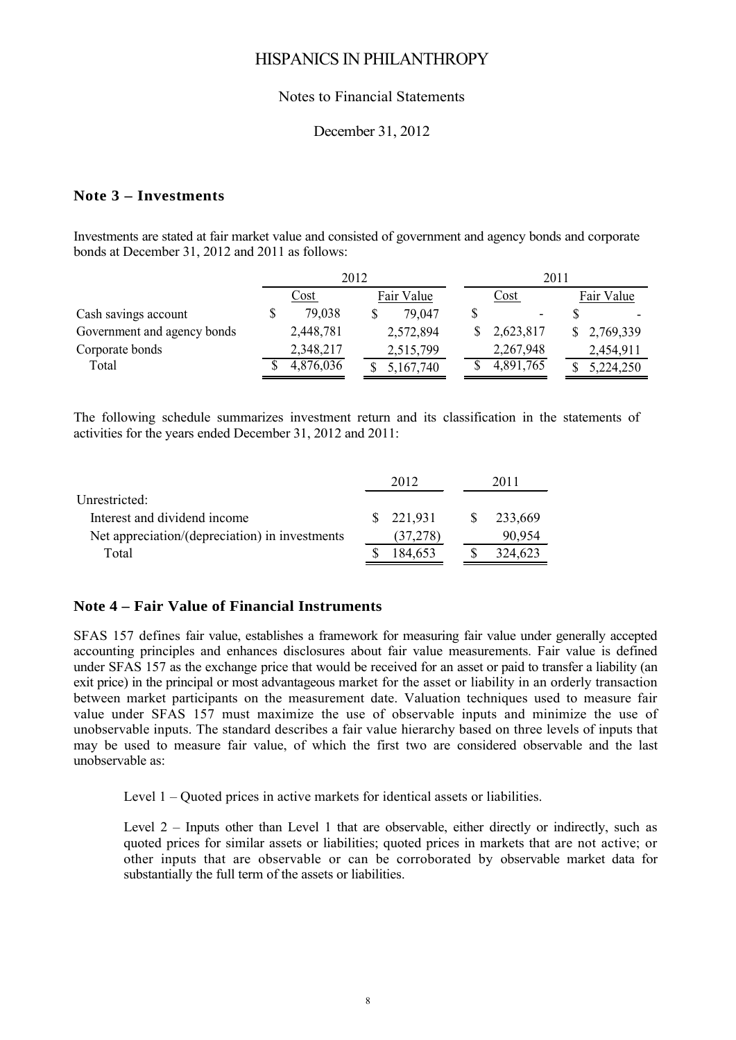#### Notes to Financial Statements

#### December 31, 2012

#### **Note 3 – Investments**

Investments are stated at fair market value and consisted of government and agency bonds and corporate bonds at December 31, 2012 and 2011 as follows:

|                             | 2012      |  |  |            |  | 2011      |            |
|-----------------------------|-----------|--|--|------------|--|-----------|------------|
|                             | Cost      |  |  | Fair Value |  | Cost      | Fair Value |
| Cash savings account        | 79,038    |  |  | 79.047     |  |           |            |
| Government and agency bonds | 2,448,781 |  |  | 2,572,894  |  | 2,623,817 | 2,769,339  |
| Corporate bonds             | 2,348,217 |  |  | 2,515,799  |  | 2,267,948 | 2,454,911  |
| Total                       | 4,876,036 |  |  | 5,167,740  |  | 4,891,765 | 5,224,250  |

The following schedule summarizes investment return and its classification in the statements of activities for the years ended December 31, 2012 and 2011:

|                                                |    | 2012      | 2011    |
|------------------------------------------------|----|-----------|---------|
| Unrestricted:                                  |    |           |         |
| Interest and dividend income                   | S. | 221,931   | 233,669 |
| Net appreciation/(depreciation) in investments |    | (37, 278) | 90,954  |
| Total                                          |    | 184,653   | 324,623 |
|                                                |    |           |         |

#### **Note 4 – Fair Value of Financial Instruments**

SFAS 157 defines fair value, establishes a framework for measuring fair value under generally accepted accounting principles and enhances disclosures about fair value measurements. Fair value is defined under SFAS 157 as the exchange price that would be received for an asset or paid to transfer a liability (an exit price) in the principal or most advantageous market for the asset or liability in an orderly transaction between market participants on the measurement date. Valuation techniques used to measure fair value under SFAS 157 must maximize the use of observable inputs and minimize the use of unobservable inputs. The standard describes a fair value hierarchy based on three levels of inputs that may be used to measure fair value, of which the first two are considered observable and the last unobservable as:

Level 1 – Quoted prices in active markets for identical assets or liabilities.

Level 2 – Inputs other than Level 1 that are observable, either directly or indirectly, such as quoted prices for similar assets or liabilities; quoted prices in markets that are not active; or other inputs that are observable or can be corroborated by observable market data for substantially the full term of the assets or liabilities.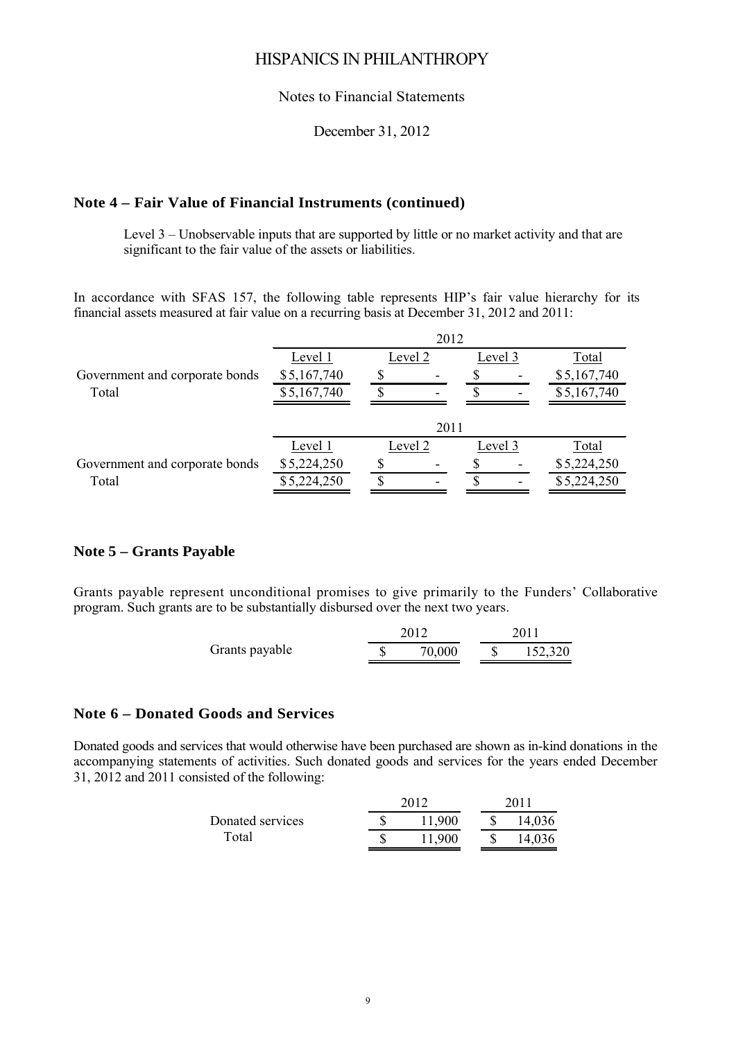#### Notes to Financial Statements

#### December 31, 2012

#### **Note 4 – Fair Value of Financial Instruments (continued)**

Level 3 – Unobservable inputs that are supported by little or no market activity and that are significant to the fair value of the assets or liabilities.

In accordance with SFAS 157, the following table represents HIP's fair value hierarchy for its financial assets measured at fair value on a recurring basis at December 31, 2012 and 2011:

|                                | 2012        |         |      |         |                          |             |  |  |
|--------------------------------|-------------|---------|------|---------|--------------------------|-------------|--|--|
|                                | Level 1     | Level 2 |      | Level 3 |                          | Total       |  |  |
| Government and corporate bonds | \$5,167,740 |         |      |         | $\overline{\phantom{a}}$ | \$5,167,740 |  |  |
| Total                          | \$5,167,740 |         |      |         | -                        | \$5,167,740 |  |  |
|                                |             |         |      |         |                          |             |  |  |
|                                |             |         | 2011 |         |                          |             |  |  |
|                                | Level 1     | Level 2 |      | Level 3 |                          | Total       |  |  |
| Government and corporate bonds | \$5,224,250 |         |      |         | ۰                        | \$5,224,250 |  |  |
| Total                          | \$5,224,250 |         |      |         | -                        | \$5,224,250 |  |  |
|                                |             |         |      |         |                          |             |  |  |

#### **Note 5 – Grants Payable**

Grants payable represent unconditional promises to give primarily to the Funders' Collaborative program. Such grants are to be substantially disbursed over the next two years.

|                | 2012   | 2011    |  |  |
|----------------|--------|---------|--|--|
| Grants payable | 70,000 | 152,320 |  |  |

#### **Note 6 – Donated Goods and Services**

Donated goods and services that would otherwise have been purchased are shown as in-kind donations in the accompanying statements of activities. Such donated goods and services for the years ended December 31, 2012 and 2011 consisted of the following:

|                  | 2012   | 2011 |        |  |  |  |
|------------------|--------|------|--------|--|--|--|
| Donated services | 11,900 |      | 14,036 |  |  |  |
| Total            | 11,900 |      | 14,036 |  |  |  |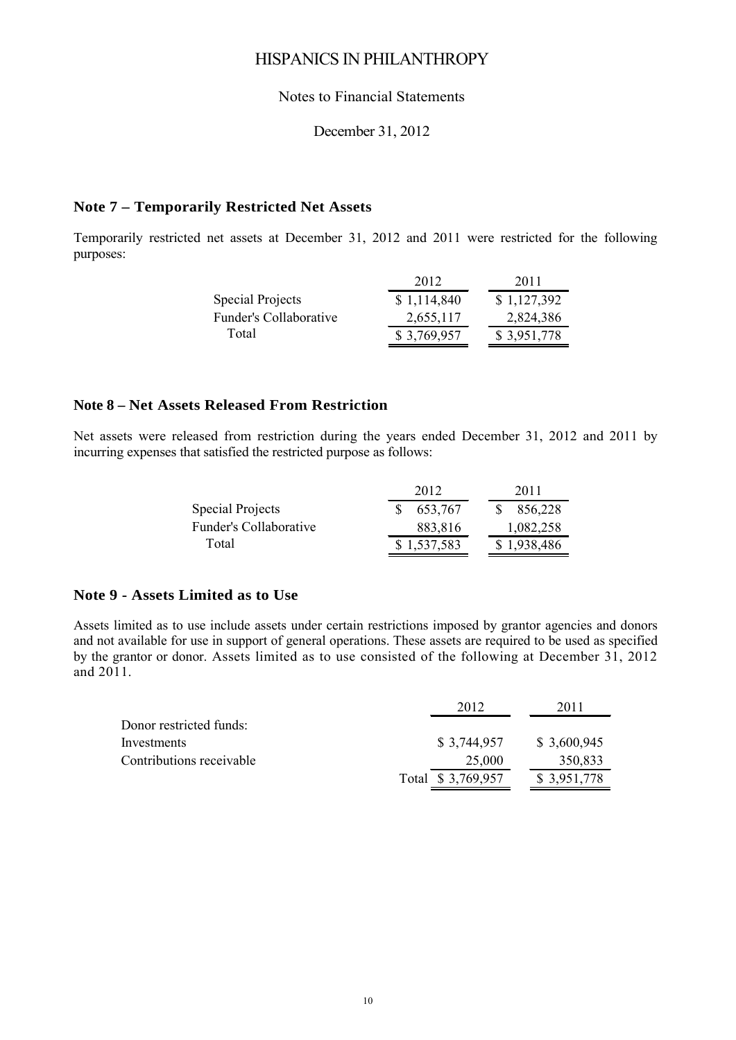#### Notes to Financial Statements

#### December 31, 2012

#### **Note 7 – Temporarily Restricted Net Assets**

Temporarily restricted net assets at December 31, 2012 and 2011 were restricted for the following purposes:

|                        | 2012        | 2011        |
|------------------------|-------------|-------------|
| Special Projects       | \$1,114,840 | \$1,127,392 |
| Funder's Collaborative | 2,655,117   | 2,824,386   |
| Total                  | \$3,769,957 | \$3,951,778 |
|                        |             |             |

### **Note 8 – Net Assets Released From Restriction**

Net assets were released from restriction during the years ended December 31, 2012 and 2011 by incurring expenses that satisfied the restricted purpose as follows:

|                               | 2012        | 2011        |
|-------------------------------|-------------|-------------|
| Special Projects              | 653,767     | 856,228     |
| <b>Funder's Collaborative</b> | 883,816     | 1,082,258   |
| Total                         | \$1,537,583 | \$1,938,486 |

#### **Note 9 - Assets Limited as to Use**

Assets limited as to use include assets under certain restrictions imposed by grantor agencies and donors and not available for use in support of general operations. These assets are required to be used as specified by the grantor or donor. Assets limited as to use consisted of the following at December 31, 2012 and 2011.

|                          | 2012              | 2011        |
|--------------------------|-------------------|-------------|
| Donor restricted funds:  |                   |             |
| Investments              | \$3,744,957       | \$3,600,945 |
| Contributions receivable | 25,000            | 350,833     |
|                          | Total \$3,769,957 | \$3,951,778 |